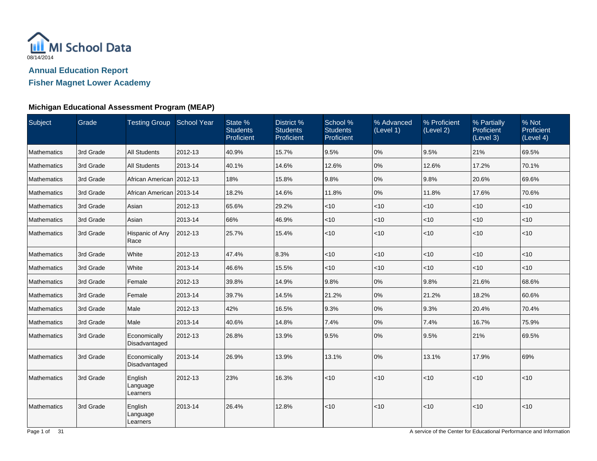

**Fisher Magnet Lower Academy**

### **Michigan Educational Assessment Program (MEAP)**

| Subject            | Grade     | Testing Group School Year       |         | State %<br><b>Students</b><br>Proficient | District %<br><b>Students</b><br>Proficient | School %<br><b>Students</b><br>Proficient | % Advanced<br>(Level 1) | % Proficient<br>(Level 2) | % Partially<br>Proficient<br>(Level 3) | % Not<br>Proficient<br>(Level 4) |
|--------------------|-----------|---------------------------------|---------|------------------------------------------|---------------------------------------------|-------------------------------------------|-------------------------|---------------------------|----------------------------------------|----------------------------------|
| <b>Mathematics</b> | 3rd Grade | <b>All Students</b>             | 2012-13 | 40.9%                                    | 15.7%                                       | 9.5%                                      | 0%                      | 9.5%                      | 21%                                    | 69.5%                            |
| Mathematics        | 3rd Grade | <b>All Students</b>             | 2013-14 | 40.1%                                    | 14.6%                                       | 12.6%                                     | 0%                      | 12.6%                     | 17.2%                                  | 70.1%                            |
| Mathematics        | 3rd Grade | African American 2012-13        |         | 18%                                      | 15.8%                                       | 9.8%                                      | 0%                      | 9.8%                      | 20.6%                                  | 69.6%                            |
| <b>Mathematics</b> | 3rd Grade | African American 2013-14        |         | 18.2%                                    | 14.6%                                       | 11.8%                                     | 0%                      | 11.8%                     | 17.6%                                  | 70.6%                            |
| Mathematics        | 3rd Grade | Asian                           | 2012-13 | 65.6%                                    | 29.2%                                       | $<$ 10                                    | < 10                    | $<$ 10                    | $<$ 10                                 | $<$ 10                           |
| Mathematics        | 3rd Grade | Asian                           | 2013-14 | 66%                                      | 46.9%                                       | $<$ 10                                    | < 10                    | $<$ 10                    | $<$ 10                                 | $<$ 10                           |
| <b>Mathematics</b> | 3rd Grade | Hispanic of Any<br>Race         | 2012-13 | 25.7%                                    | 15.4%                                       | < 10                                      | < 10                    | $<$ 10                    | $<$ 10                                 | $<$ 10                           |
| Mathematics        | 3rd Grade | White                           | 2012-13 | 47.4%                                    | 8.3%                                        | $<$ 10                                    | $<$ 10                  | $<$ 10                    | $<$ 10                                 | $<$ 10                           |
| <b>Mathematics</b> | 3rd Grade | White                           | 2013-14 | 46.6%                                    | 15.5%                                       | < 10                                      | < 10                    | $<$ 10                    | <10                                    | $<$ 10                           |
| Mathematics        | 3rd Grade | Female                          | 2012-13 | 39.8%                                    | 14.9%                                       | 9.8%                                      | 0%                      | 9.8%                      | 21.6%                                  | 68.6%                            |
| <b>Mathematics</b> | 3rd Grade | Female                          | 2013-14 | 39.7%                                    | 14.5%                                       | 21.2%                                     | 0%                      | 21.2%                     | 18.2%                                  | 60.6%                            |
| <b>Mathematics</b> | 3rd Grade | Male                            | 2012-13 | 42%                                      | 16.5%                                       | 9.3%                                      | 0%                      | 9.3%                      | 20.4%                                  | 70.4%                            |
| Mathematics        | 3rd Grade | Male                            | 2013-14 | 40.6%                                    | 14.8%                                       | 7.4%                                      | 0%                      | 7.4%                      | 16.7%                                  | 75.9%                            |
| <b>Mathematics</b> | 3rd Grade | Economically<br>Disadvantaged   | 2012-13 | 26.8%                                    | 13.9%                                       | 9.5%                                      | 0%                      | 9.5%                      | 21%                                    | 69.5%                            |
| Mathematics        | 3rd Grade | Economically<br>Disadvantaged   | 2013-14 | 26.9%                                    | 13.9%                                       | 13.1%                                     | 0%                      | 13.1%                     | 17.9%                                  | 69%                              |
| Mathematics        | 3rd Grade | English<br>Language<br>Learners | 2012-13 | 23%                                      | 16.3%                                       | < 10                                      | < 10                    | <10                       | <10                                    | < 10                             |
| <b>Mathematics</b> | 3rd Grade | English<br>Language<br>Learners | 2013-14 | 26.4%                                    | 12.8%                                       | < 10                                      | < 10                    | $<$ 10                    | $<10$                                  | $<$ 10                           |

A service of the Center for Educational Performance and Information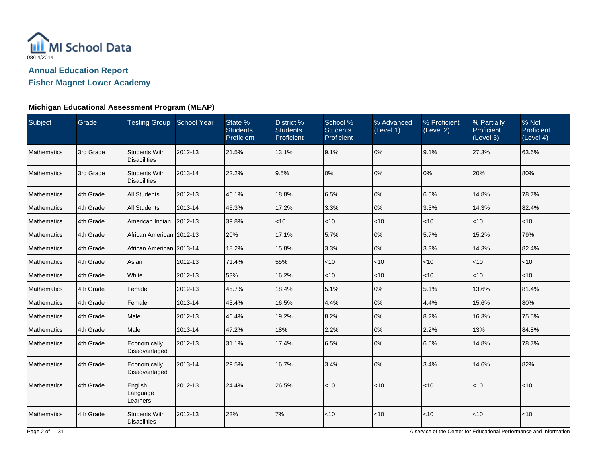

## **Fisher Magnet Lower Academy**

### **Michigan Educational Assessment Program (MEAP)**

| Subject            | Grade     | Testing Group School Year                   |         | State %<br><b>Students</b><br>Proficient | District %<br><b>Students</b><br>Proficient | School %<br><b>Students</b><br>Proficient | % Advanced<br>(Level 1) | % Proficient<br>(Level 2) | % Partially<br>Proficient<br>(Level 3) | % Not<br>Proficient<br>(Level 4) |
|--------------------|-----------|---------------------------------------------|---------|------------------------------------------|---------------------------------------------|-------------------------------------------|-------------------------|---------------------------|----------------------------------------|----------------------------------|
| Mathematics        | 3rd Grade | <b>Students With</b><br><b>Disabilities</b> | 2012-13 | 21.5%                                    | 13.1%                                       | 9.1%                                      | 0%                      | 9.1%                      | 27.3%                                  | 63.6%                            |
| <b>Mathematics</b> | 3rd Grade | <b>Students With</b><br><b>Disabilities</b> | 2013-14 | 22.2%                                    | 9.5%                                        | 0%                                        | 0%                      | 0%                        | 20%                                    | 80%                              |
| Mathematics        | 4th Grade | <b>All Students</b>                         | 2012-13 | 46.1%                                    | 18.8%                                       | 6.5%                                      | 0%                      | 6.5%                      | 14.8%                                  | 78.7%                            |
| Mathematics        | 4th Grade | <b>All Students</b>                         | 2013-14 | 45.3%                                    | 17.2%                                       | 3.3%                                      | 0%                      | 3.3%                      | 14.3%                                  | 82.4%                            |
| Mathematics        | 4th Grade | American Indian                             | 2012-13 | 39.8%                                    | $<$ 10                                      | $<$ 10                                    | $<$ 10                  | $<$ 10                    | $<$ 10                                 | $<$ 10                           |
| Mathematics        | 4th Grade | African American 2012-13                    |         | 20%                                      | 17.1%                                       | 5.7%                                      | 0%                      | 5.7%                      | 15.2%                                  | 79%                              |
| Mathematics        | 4th Grade | African American 2013-14                    |         | 18.2%                                    | 15.8%                                       | 3.3%                                      | 0%                      | 3.3%                      | 14.3%                                  | 82.4%                            |
| Mathematics        | 4th Grade | Asian                                       | 2012-13 | 71.4%                                    | 55%                                         | <10                                       | $<$ 10                  | $<$ 10                    | $<$ 10                                 | $<$ 10                           |
| Mathematics        | 4th Grade | White                                       | 2012-13 | 53%                                      | 16.2%                                       | $<$ 10                                    | $<$ 10                  | $<$ 10                    | < 10                                   | $<$ 10                           |
| Mathematics        | 4th Grade | Female                                      | 2012-13 | 45.7%                                    | 18.4%                                       | 5.1%                                      | 0%                      | 5.1%                      | 13.6%                                  | 81.4%                            |
| Mathematics        | 4th Grade | Female                                      | 2013-14 | 43.4%                                    | 16.5%                                       | 4.4%                                      | 0%                      | 4.4%                      | 15.6%                                  | 80%                              |
| <b>Mathematics</b> | 4th Grade | Male                                        | 2012-13 | 46.4%                                    | 19.2%                                       | 8.2%                                      | 0%                      | 8.2%                      | 16.3%                                  | 75.5%                            |
| Mathematics        | 4th Grade | Male                                        | 2013-14 | 47.2%                                    | 18%                                         | 2.2%                                      | 0%                      | 2.2%                      | 13%                                    | 84.8%                            |
| Mathematics        | 4th Grade | Economically<br>Disadvantaged               | 2012-13 | 31.1%                                    | 17.4%                                       | 6.5%                                      | 0%                      | 6.5%                      | 14.8%                                  | 78.7%                            |
| Mathematics        | 4th Grade | Economically<br>Disadvantaged               | 2013-14 | 29.5%                                    | 16.7%                                       | 3.4%                                      | 0%                      | 3.4%                      | 14.6%                                  | 82%                              |
| <b>Mathematics</b> | 4th Grade | English<br>Language<br>Learners             | 2012-13 | 24.4%                                    | 26.5%                                       | <10                                       | < 10                    | $ $ < 10                  | <10                                    | <10                              |
| Mathematics        | 4th Grade | <b>Students With</b><br><b>Disabilities</b> | 2012-13 | 23%                                      | 7%                                          | $<10$                                     | < 10                    | <10                       | $<$ 10                                 | < 10                             |

A service of the Center for Educational Performance and Information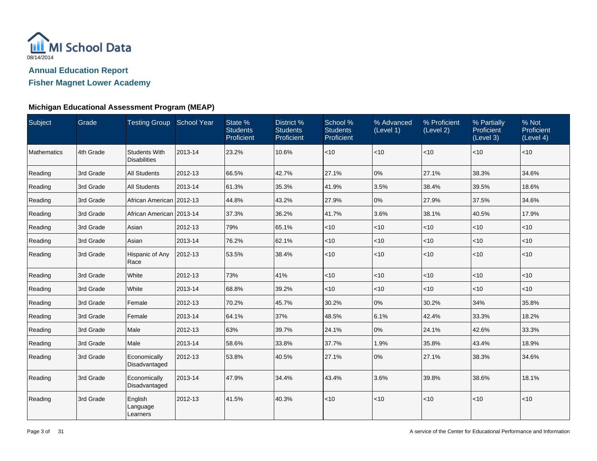

**Fisher Magnet Lower Academy**

### **Michigan Educational Assessment Program (MEAP)**

| Subject     | Grade     | Testing Group School Year                   |         | State %<br><b>Students</b><br>Proficient | District %<br><b>Students</b><br>Proficient | School %<br><b>Students</b><br>Proficient | % Advanced<br>(Level 1) | % Proficient<br>(Level 2) | % Partially<br><b>Proficient</b><br>(Level 3) | % Not<br>Proficient<br>(Level 4) |
|-------------|-----------|---------------------------------------------|---------|------------------------------------------|---------------------------------------------|-------------------------------------------|-------------------------|---------------------------|-----------------------------------------------|----------------------------------|
| Mathematics | 4th Grade | <b>Students With</b><br><b>Disabilities</b> | 2013-14 | 23.2%                                    | 10.6%                                       | $<$ 10                                    | <10                     | $<$ 10                    | $ $ < 10                                      | $<$ 10                           |
| Reading     | 3rd Grade | <b>All Students</b>                         | 2012-13 | 66.5%                                    | 42.7%                                       | 27.1%                                     | 0%                      | 27.1%                     | 38.3%                                         | 34.6%                            |
| Reading     | 3rd Grade | <b>All Students</b>                         | 2013-14 | 61.3%                                    | 35.3%                                       | 41.9%                                     | 3.5%                    | 38.4%                     | 39.5%                                         | 18.6%                            |
| Reading     | 3rd Grade | African American 2012-13                    |         | 44.8%                                    | 43.2%                                       | 27.9%                                     | 0%                      | 27.9%                     | 37.5%                                         | 34.6%                            |
| Reading     | 3rd Grade | African American   2013-14                  |         | 37.3%                                    | 36.2%                                       | 41.7%                                     | 3.6%                    | 38.1%                     | 40.5%                                         | 17.9%                            |
| Reading     | 3rd Grade | Asian                                       | 2012-13 | 79%                                      | 65.1%                                       | $<$ 10                                    | $<$ 10                  | $<$ 10                    | $<$ 10                                        | $<$ 10                           |
| Reading     | 3rd Grade | Asian                                       | 2013-14 | 76.2%                                    | 62.1%                                       | $<$ 10                                    | $<$ 10                  | <10                       | $ $ < 10                                      | $<$ 10                           |
| Reading     | 3rd Grade | Hispanic of Any<br>Race                     | 2012-13 | 53.5%                                    | 38.4%                                       | $<$ 10                                    | $<$ 10                  | $<$ 10                    | $ $ < 10                                      | $<$ 10                           |
| Reading     | 3rd Grade | White                                       | 2012-13 | 73%                                      | 41%                                         | <10                                       | $<$ 10                  | $<$ 10                    | $ $ < 10                                      | $<$ 10                           |
| Reading     | 3rd Grade | White                                       | 2013-14 | 68.8%                                    | 39.2%                                       | $<$ 10                                    | $<$ 10                  | <10                       | $ $ < 10                                      | $<$ 10                           |
| Reading     | 3rd Grade | Female                                      | 2012-13 | 70.2%                                    | 45.7%                                       | 30.2%                                     | 0%                      | 30.2%                     | 34%                                           | 35.8%                            |
| Reading     | 3rd Grade | Female                                      | 2013-14 | 64.1%                                    | 37%                                         | 48.5%                                     | 6.1%                    | 42.4%                     | 33.3%                                         | 18.2%                            |
| Reading     | 3rd Grade | Male                                        | 2012-13 | 63%                                      | 39.7%                                       | 24.1%                                     | 0%                      | 24.1%                     | 42.6%                                         | 33.3%                            |
| Reading     | 3rd Grade | Male                                        | 2013-14 | 58.6%                                    | 33.8%                                       | 37.7%                                     | 1.9%                    | 35.8%                     | 43.4%                                         | 18.9%                            |
| Reading     | 3rd Grade | Economically<br>Disadvantaged               | 2012-13 | 53.8%                                    | 40.5%                                       | 27.1%                                     | 0%                      | 27.1%                     | 38.3%                                         | 34.6%                            |
| Reading     | 3rd Grade | Economically<br>Disadvantaged               | 2013-14 | 47.9%                                    | 34.4%                                       | 43.4%                                     | 3.6%                    | 39.8%                     | 38.6%                                         | 18.1%                            |
| Reading     | 3rd Grade | English<br>Language<br>Learners             | 2012-13 | 41.5%                                    | 40.3%                                       | $<$ 10                                    | $<$ 10                  | $<$ 10                    | < 10                                          | $<$ 10                           |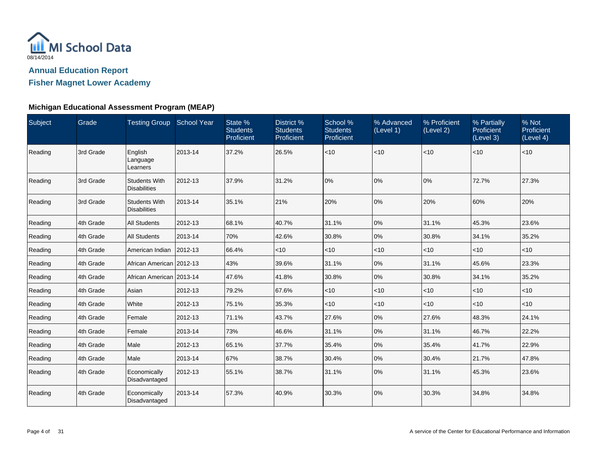

## **Fisher Magnet Lower Academy**

### **Michigan Educational Assessment Program (MEAP)**

| Subject | Grade     | Testing Group School Year                   |         | State %<br><b>Students</b><br>Proficient | District %<br><b>Students</b><br>Proficient | School %<br><b>Students</b><br>Proficient | % Advanced<br>(Level 1) | % Proficient<br>(Level 2) | % Partially<br>Proficient<br>(Level 3) | % Not<br>Proficient<br>(Level 4) |
|---------|-----------|---------------------------------------------|---------|------------------------------------------|---------------------------------------------|-------------------------------------------|-------------------------|---------------------------|----------------------------------------|----------------------------------|
| Reading | 3rd Grade | English<br>Language<br>Learners             | 2013-14 | 37.2%                                    | 26.5%                                       | $<$ 10                                    | $<$ 10                  | $<$ 10                    | $ $ < 10                               | $<$ 10                           |
| Reading | 3rd Grade | <b>Students With</b><br><b>Disabilities</b> | 2012-13 | 37.9%                                    | 31.2%                                       | 0%                                        | 0%                      | 0%                        | 72.7%                                  | 27.3%                            |
| Reading | 3rd Grade | <b>Students With</b><br><b>Disabilities</b> | 2013-14 | 35.1%                                    | 21%                                         | 20%                                       | 0%                      | 20%                       | 60%                                    | 20%                              |
| Reading | 4th Grade | <b>All Students</b>                         | 2012-13 | 68.1%                                    | 40.7%                                       | 31.1%                                     | 0%                      | 31.1%                     | 45.3%                                  | 23.6%                            |
| Reading | 4th Grade | <b>All Students</b>                         | 2013-14 | 70%                                      | 42.6%                                       | 30.8%                                     | 0%                      | 30.8%                     | 34.1%                                  | 35.2%                            |
| Reading | 4th Grade | American Indian                             | 2012-13 | 66.4%                                    | $<$ 10                                      | $<$ 10                                    | < 10                    | $<$ 10                    | $ $ < 10                               | $<$ 10                           |
| Reading | 4th Grade | African American   2012-13                  |         | 43%                                      | 39.6%                                       | 31.1%                                     | 0%                      | 31.1%                     | 45.6%                                  | 23.3%                            |
| Reading | 4th Grade | African American   2013-14                  |         | 47.6%                                    | 41.8%                                       | 30.8%                                     | 0%                      | 30.8%                     | 34.1%                                  | 35.2%                            |
| Reading | 4th Grade | Asian                                       | 2012-13 | 79.2%                                    | 67.6%                                       | $<$ 10                                    | $<$ 10                  | $<$ 10                    | $ $ < 10                               | $<$ 10                           |
| Reading | 4th Grade | White                                       | 2012-13 | 75.1%                                    | 35.3%                                       | $<$ 10                                    | < 10                    | $<$ 10                    | $ $ < 10                               | $<$ 10                           |
| Reading | 4th Grade | Female                                      | 2012-13 | 71.1%                                    | 43.7%                                       | 27.6%                                     | $0\%$                   | 27.6%                     | 48.3%                                  | 24.1%                            |
| Reading | 4th Grade | Female                                      | 2013-14 | 73%                                      | 46.6%                                       | 31.1%                                     | 0%                      | 31.1%                     | 46.7%                                  | 22.2%                            |
| Reading | 4th Grade | Male                                        | 2012-13 | 65.1%                                    | 37.7%                                       | 35.4%                                     | 0%                      | 35.4%                     | 41.7%                                  | 22.9%                            |
| Reading | 4th Grade | Male                                        | 2013-14 | 67%                                      | 38.7%                                       | 30.4%                                     | $0\%$                   | 30.4%                     | 21.7%                                  | 47.8%                            |
| Reading | 4th Grade | Economically<br>Disadvantaged               | 2012-13 | 55.1%                                    | 38.7%                                       | 31.1%                                     | 0%                      | 31.1%                     | 45.3%                                  | 23.6%                            |
| Reading | 4th Grade | Economically<br>Disadvantaged               | 2013-14 | 57.3%                                    | 40.9%                                       | 30.3%                                     | 0%                      | 30.3%                     | 34.8%                                  | 34.8%                            |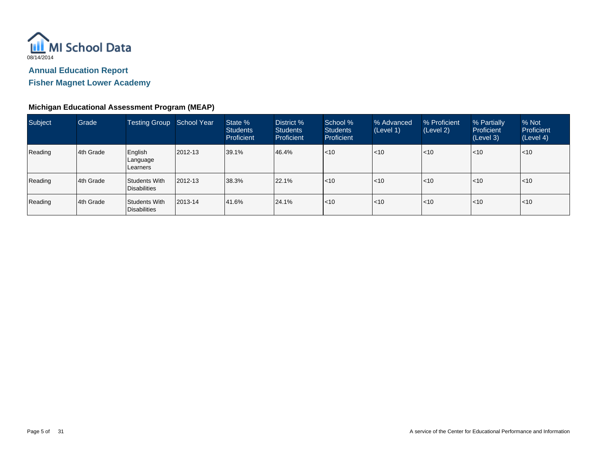

**Fisher Magnet Lower Academy**

### **Michigan Educational Assessment Program (MEAP)**

| Subject | Grade     | <b>Testing Group</b>                     | School Year | State %<br><b>Students</b><br>Proficient | District %<br><b>Students</b><br>Proficient | School %<br><b>Students</b><br>Proficient | % Advanced<br>(Level 1) | % Proficient<br>(Level 2) | % Partially<br><b>Proficient</b><br>(Level 3) | % Not<br>Proficient<br>(Level 4) |
|---------|-----------|------------------------------------------|-------------|------------------------------------------|---------------------------------------------|-------------------------------------------|-------------------------|---------------------------|-----------------------------------------------|----------------------------------|
| Reading | 4th Grade | English<br>Language<br><b>I Learners</b> | 2012-13     | 39.1%                                    | 46.4%                                       | $ $ <10                                   | $\leq 10$               | l<10                      | < 10                                          | $ $ < 10                         |
| Reading | 4th Grade | Students With<br>Disabilities            | 2012-13     | 38.3%                                    | 22.1%                                       | l<10                                      | $\leq 10$               | l<10                      | < 10                                          | l<10                             |
| Reading | 4th Grade | Students With<br>Disabilities            | 2013-14     | 41.6%                                    | 24.1%                                       | $ $ <10                                   | $\leq 10$               | l<10                      | < 10                                          | $ $ < 10                         |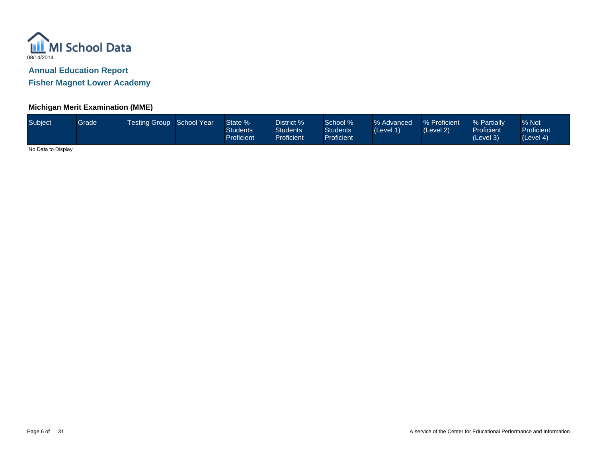

**Fisher Magnet Lower Academy**

### **Michigan Merit Examination (MME)**

| Subject | Grade | Testing Group School Year |  | State %<br>Students<br>Proficient | District %<br><b>Students</b><br>Proficient | School %<br>Students <sup>1</sup><br><b>Proficient</b> | % Advanced<br>(Level 1) | % Proficient<br>(Level 2) | % Partially<br><b>Proficient</b><br>(Level 3) | % Not<br><b>Proficient</b><br>(Level 4) |
|---------|-------|---------------------------|--|-----------------------------------|---------------------------------------------|--------------------------------------------------------|-------------------------|---------------------------|-----------------------------------------------|-----------------------------------------|
|---------|-------|---------------------------|--|-----------------------------------|---------------------------------------------|--------------------------------------------------------|-------------------------|---------------------------|-----------------------------------------------|-----------------------------------------|

No Data to Display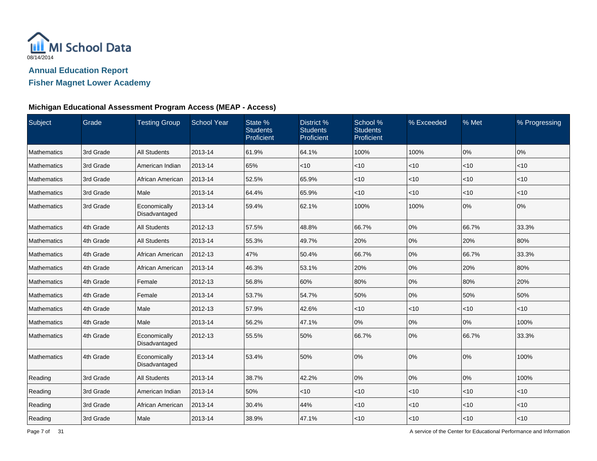

## **Fisher Magnet Lower Academy**

### **Michigan Educational Assessment Program Access (MEAP - Access)**

| Subject     | Grade     | <b>Testing Group</b>          | <b>School Year</b> | State %<br><b>Students</b><br>Proficient | District %<br><b>Students</b><br>Proficient | School %<br><b>Students</b><br>Proficient | % Exceeded | % Met  | % Progressing |
|-------------|-----------|-------------------------------|--------------------|------------------------------------------|---------------------------------------------|-------------------------------------------|------------|--------|---------------|
| Mathematics | 3rd Grade | <b>All Students</b>           | 2013-14            | 61.9%                                    | 64.1%                                       | 100%                                      | 100%       | 0%     | 0%            |
| Mathematics | 3rd Grade | American Indian               | 2013-14            | 65%                                      | <10                                         | $<$ 10                                    | $<$ 10     | <10    | $<$ 10        |
| Mathematics | 3rd Grade | African American              | 2013-14            | 52.5%                                    | 65.9%                                       | $<$ 10                                    | $<$ 10     | < 10   | $<$ 10        |
| Mathematics | 3rd Grade | Male                          | 2013-14            | 64.4%                                    | 65.9%                                       | $<$ 10                                    | $<$ 10     | < 10   | $<$ 10        |
| Mathematics | 3rd Grade | Economically<br>Disadvantaged | 2013-14            | 59.4%                                    | 62.1%                                       | 100%                                      | 100%       | 0%     | 0%            |
| Mathematics | 4th Grade | <b>All Students</b>           | 2012-13            | 57.5%                                    | 48.8%                                       | 66.7%                                     | 0%         | 66.7%  | 33.3%         |
| Mathematics | 4th Grade | <b>All Students</b>           | 2013-14            | 55.3%                                    | 49.7%                                       | 20%                                       | 0%         | 20%    | 80%           |
| Mathematics | 4th Grade | African American              | 2012-13            | 47%                                      | 50.4%                                       | 66.7%                                     | 0%         | 66.7%  | 33.3%         |
| Mathematics | 4th Grade | African American              | 2013-14            | 46.3%                                    | 53.1%                                       | 20%                                       | 0%         | 20%    | 80%           |
| Mathematics | 4th Grade | Female                        | 2012-13            | 56.8%                                    | 60%                                         | 80%                                       | 0%         | 80%    | 20%           |
| Mathematics | 4th Grade | Female                        | 2013-14            | 53.7%                                    | 54.7%                                       | 50%                                       | $0\%$      | 50%    | 50%           |
| Mathematics | 4th Grade | Male                          | 2012-13            | 57.9%                                    | 42.6%                                       | $<$ 10                                    | $<$ 10     | < 10   | $<$ 10        |
| Mathematics | 4th Grade | Male                          | 2013-14            | 56.2%                                    | 47.1%                                       | $0\%$                                     | 0%         | 0%     | 100%          |
| Mathematics | 4th Grade | Economically<br>Disadvantaged | 2012-13            | 55.5%                                    | 50%                                         | 66.7%                                     | 0%         | 66.7%  | 33.3%         |
| Mathematics | 4th Grade | Economically<br>Disadvantaged | 2013-14            | 53.4%                                    | 50%                                         | 0%                                        | 0%         | 0%     | 100%          |
| Reading     | 3rd Grade | <b>All Students</b>           | 2013-14            | 38.7%                                    | 42.2%                                       | 0%                                        | 0%         | 0%     | 100%          |
| Reading     | 3rd Grade | American Indian               | 2013-14            | 50%                                      | $<$ 10                                      | $<$ 10                                    | < 10       | < 10   | < 10          |
| Reading     | 3rd Grade | African American              | 2013-14            | 30.4%                                    | 44%                                         | $<$ 10                                    | $<$ 10     | $<$ 10 | < 10          |
| Reading     | 3rd Grade | Male                          | 2013-14            | 38.9%                                    | 47.1%                                       | $<$ 10                                    | $<$ 10     | < 10   | $<$ 10        |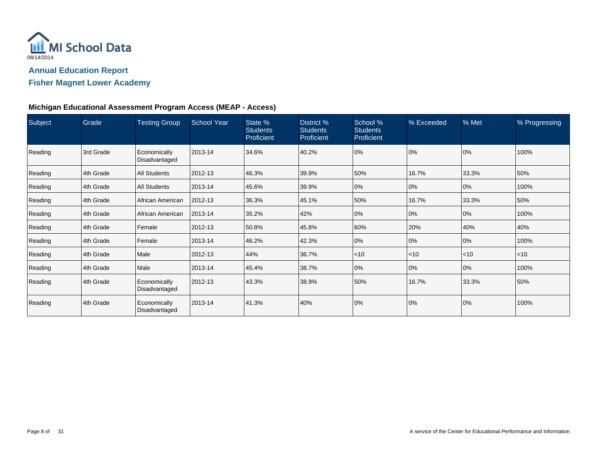

## **Fisher Magnet Lower Academy**

### **Michigan Educational Assessment Program Access (MEAP - Access)**

| Subject | Grade     | <b>Testing Group</b>          | <b>School Year</b> | State %<br><b>Students</b><br>Proficient | District %<br><b>Students</b><br>Proficient | School %<br><b>Students</b><br>Proficient | % Exceeded | % Met    | % Progressing |
|---------|-----------|-------------------------------|--------------------|------------------------------------------|---------------------------------------------|-------------------------------------------|------------|----------|---------------|
| Reading | 3rd Grade | Economically<br>Disadvantaged | 2013-14            | 34.6%                                    | 40.2%                                       | 0%                                        | 0%         | 0%       | 100%          |
| Reading | 4th Grade | <b>All Students</b>           | 2012-13            | 46.3%                                    | 39.9%                                       | 50%                                       | 16.7%      | 33.3%    | 50%           |
| Reading | 4th Grade | <b>All Students</b>           | 2013-14            | 45.6%                                    | 39.9%                                       | 0%                                        | 0%         | 0%       | 100%          |
| Reading | 4th Grade | African American              | 2012-13            | 36.3%                                    | 45.1%                                       | 50%                                       | 16.7%      | 33.3%    | 50%           |
| Reading | 4th Grade | African American              | 2013-14            | 35.2%                                    | 42%                                         | 0%                                        | 0%         | 0%       | 100%          |
| Reading | 4th Grade | Female                        | 2012-13            | 50.8%                                    | 45.8%                                       | 60%                                       | 20%        | 40%      | 40%           |
| Reading | 4th Grade | Female                        | 2013-14            | 46.2%                                    | 42.3%                                       | 0%                                        | 0%         | 0%       | 100%          |
| Reading | 4th Grade | Male                          | 2012-13            | 44%                                      | 36.7%                                       | ~10                                       | $ $ < 10   | $ $ < 10 | $<$ 10        |
| Reading | 4th Grade | Male                          | 2013-14            | 45.4%                                    | 38.7%                                       | 0%                                        | 0%         | 0%       | 100%          |
| Reading | 4th Grade | Economically<br>Disadvantaged | 2012-13            | 43.3%                                    | 38.9%                                       | 50%                                       | 16.7%      | 33.3%    | 50%           |
| Reading | 4th Grade | Economically<br>Disadvantaged | 2013-14            | 41.3%                                    | 40%                                         | 0%                                        | 0%         | 0%       | 100%          |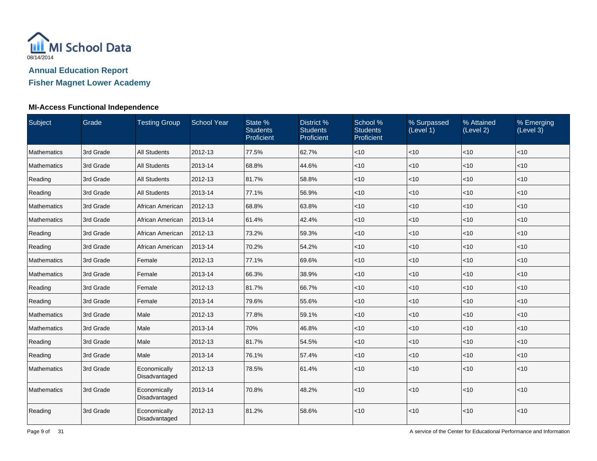

# **Fisher Magnet Lower Academy**

### **MI-Access Functional Independence**

| Subject            | Grade     | <b>Testing Group</b>          | <b>School Year</b> | State %<br><b>Students</b><br>Proficient | District %<br><b>Students</b><br>Proficient | School %<br><b>Students</b><br>Proficient | % Surpassed<br>(Level 1) | % Attained<br>(Level 2) | % Emerging<br>(Level 3) |
|--------------------|-----------|-------------------------------|--------------------|------------------------------------------|---------------------------------------------|-------------------------------------------|--------------------------|-------------------------|-------------------------|
| Mathematics        | 3rd Grade | <b>All Students</b>           | 2012-13            | 77.5%                                    | 62.7%                                       | < 10                                      | <10                      | <10                     | <10                     |
| <b>Mathematics</b> | 3rd Grade | <b>All Students</b>           | 2013-14            | 68.8%                                    | 44.6%                                       | $ $ < 10                                  | $<$ 10                   | < 10                    | $<$ 10                  |
| Reading            | 3rd Grade | <b>All Students</b>           | 2012-13            | 81.7%                                    | 58.8%                                       | $ $ < 10                                  | <10                      | $\vert$ < 10            | $<$ 10                  |
| Reading            | 3rd Grade | <b>All Students</b>           | 2013-14            | 77.1%                                    | 56.9%                                       | < 10                                      | $<$ 10                   | < 10                    | $<$ 10                  |
| Mathematics        | 3rd Grade | African American              | 2012-13            | 68.8%                                    | 63.8%                                       | $ $ < 10                                  | < 10                     | < 10                    | $<$ 10                  |
| Mathematics        | 3rd Grade | African American              | 2013-14            | 61.4%                                    | 42.4%                                       | < 10                                      | $<$ 10                   | $<$ 10                  | $<$ 10                  |
| Reading            | 3rd Grade | African American              | 2012-13            | 73.2%                                    | 59.3%                                       | $<$ 10                                    | <10                      | $\vert$ < 10            | $<$ 10                  |
| Reading            | 3rd Grade | African American              | 2013-14            | 70.2%                                    | 54.2%                                       | ~10                                       | <10                      | $<10$                   | <10                     |
| Mathematics        | 3rd Grade | Female                        | 2012-13            | 77.1%                                    | 69.6%                                       | $ $ < 10                                  | $<$ 10                   | < 10                    | $<$ 10                  |
| Mathematics        | 3rd Grade | Female                        | 2013-14            | 66.3%                                    | 38.9%                                       | $ $ < 10                                  | <10                      | $\vert$ < 10            | $<$ 10                  |
| Reading            | 3rd Grade | Female                        | 2012-13            | 81.7%                                    | 66.7%                                       | $ $ < 10                                  | <10                      | < 10                    | < 10                    |
| Reading            | 3rd Grade | Female                        | 2013-14            | 79.6%                                    | 55.6%                                       | < 10                                      | $<10$                    | $<10$                   | < 10                    |
| Mathematics        | 3rd Grade | Male                          | 2012-13            | 77.8%                                    | 59.1%                                       | $<$ 10                                    | $<$ 10                   | < 10                    | $<$ 10                  |
| Mathematics        | 3rd Grade | Male                          | 2013-14            | 70%                                      | 46.8%                                       | $<$ 10                                    | <10                      | $\leq 10$               | $<$ 10                  |
| Reading            | 3rd Grade | Male                          | 2012-13            | 81.7%                                    | 54.5%                                       | < 10                                      | $<10$                    | $<10$                   | < 10                    |
| Reading            | 3rd Grade | Male                          | 2013-14            | 76.1%                                    | 57.4%                                       | $<$ 10                                    | $<$ 10                   | < 10                    | $<$ 10                  |
| Mathematics        | 3rd Grade | Economically<br>Disadvantaged | 2012-13            | 78.5%                                    | 61.4%                                       | $ $ < 10                                  | < 10                     | $\vert$ < 10            | $<$ 10                  |
| Mathematics        | 3rd Grade | Economically<br>Disadvantaged | 2013-14            | 70.8%                                    | 48.2%                                       | $ $ < 10                                  | < 10                     | $\vert$ < 10            | $<$ 10                  |
| Reading            | 3rd Grade | Economically<br>Disadvantaged | 2012-13            | 81.2%                                    | 58.6%                                       | $ $ < 10                                  | < 10                     | < 10                    | < 10                    |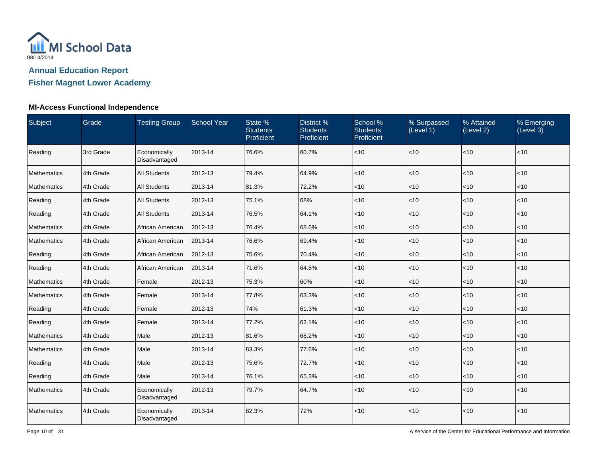

## **Fisher Magnet Lower Academy**

### **MI-Access Functional Independence**

| Subject            | Grade     | <b>Testing Group</b>          | <b>School Year</b> | State %<br><b>Students</b><br>Proficient | District %<br><b>Students</b><br>Proficient | School %<br><b>Students</b><br>Proficient | % Surpassed<br>(Level 1) | % Attained<br>(Level 2) | % Emerging<br>(Level 3) |
|--------------------|-----------|-------------------------------|--------------------|------------------------------------------|---------------------------------------------|-------------------------------------------|--------------------------|-------------------------|-------------------------|
| Reading            | 3rd Grade | Economically<br>Disadvantaged | 2013-14            | 76.6%                                    | 60.7%                                       | $<10$                                     | <10                      | <10                     | <10                     |
| Mathematics        | 4th Grade | <b>All Students</b>           | 2012-13            | 79.4%                                    | 64.9%                                       | <10                                       | <10                      | <10                     | $<$ 10                  |
| Mathematics        | 4th Grade | <b>All Students</b>           | 2013-14            | 81.3%                                    | 72.2%                                       | $<$ 10                                    | <10                      | <10                     | $<$ 10                  |
| Reading            | 4th Grade | <b>All Students</b>           | 2012-13            | 75.1%                                    | 68%                                         | $\vert$ < 10                              | <10                      | < 10                    | <10                     |
| Reading            | 4th Grade | All Students                  | 2013-14            | 76.5%                                    | 64.1%                                       | $<$ 10                                    | $<$ 10                   | <10                     | $<$ 10                  |
| Mathematics        | 4th Grade | African American              | 2012-13            | 76.4%                                    | 68.6%                                       | $ $ < 10                                  | <10                      | $<$ 10                  | $<$ 10                  |
| Mathematics        | 4th Grade | African American              | 2013-14            | 76.6%                                    | 69.4%                                       | $ $ < 10                                  | <10                      | <10                     | $<$ 10                  |
| Reading            | 4th Grade | African American              | 2012-13            | 75.6%                                    | 70.4%                                       | $\vert$ < 10                              | <10                      | <10                     | $<$ 10                  |
| Reading            | 4th Grade | African American              | 2013-14            | 71.6%                                    | 64.8%                                       | $<$ 10                                    | $<$ 10                   | <10                     | < 10                    |
| <b>Mathematics</b> | 4th Grade | Female                        | 2012-13            | 75.3%                                    | 60%                                         | $<$ 10                                    | $<$ 10                   | $<$ 10                  | < 10                    |
| Mathematics        | 4th Grade | Female                        | 2013-14            | 77.8%                                    | 63.3%                                       | $ $ < 10                                  | <10                      | <10                     | $<$ 10                  |
| Reading            | 4th Grade | Female                        | 2012-13            | 74%                                      | 61.3%                                       | $<10$                                     | <10                      | <10                     | < 10                    |
| Reading            | 4th Grade | Female                        | 2013-14            | 77.2%                                    | 62.1%                                       | $ $ < 10                                  | $<$ 10                   | < 10                    | < 10                    |
| Mathematics        | 4th Grade | Male                          | 2012-13            | 81.6%                                    | 68.2%                                       | $<$ 10                                    | $<$ 10                   | $<$ 10                  | $<$ 10                  |
| Mathematics        | 4th Grade | Male                          | 2013-14            | 83.3%                                    | 77.6%                                       | $ $ < 10                                  | <10                      | <10                     | $<$ 10                  |
| Reading            | 4th Grade | Male                          | 2012-13            | 75.6%                                    | 72.7%                                       | $ $ < 10                                  | $<$ 10                   | <10                     | $<$ 10                  |
| Reading            | 4th Grade | Male                          | 2013-14            | 76.1%                                    | 65.3%                                       | $<$ 10                                    | <10                      | <10                     | $<$ 10                  |
| <b>Mathematics</b> | 4th Grade | Economically<br>Disadvantaged | 2012-13            | 79.7%                                    | 64.7%                                       | $ $ < 10                                  | $<$ 10                   | <10                     | $<$ 10                  |
| Mathematics        | 4th Grade | Economically<br>Disadvantaged | 2013-14            | 82.3%                                    | 72%                                         | $ $ < 10                                  | <10                      | <10                     | < 10                    |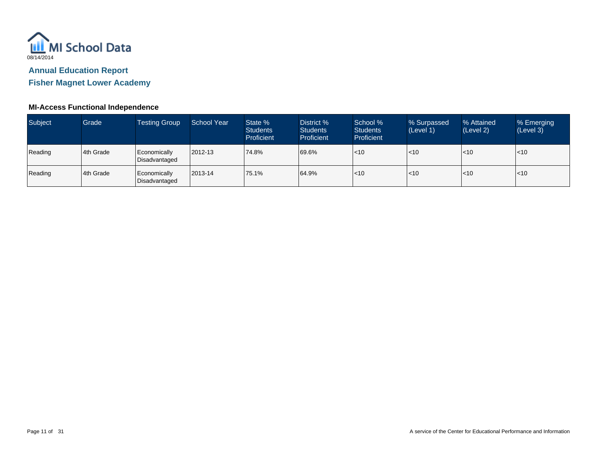

**Fisher Magnet Lower Academy**

### **MI-Access Functional Independence**

| Subject | Grade     | <b>Testing Group</b>          | <b>School Year</b> | State %<br><b>Students</b><br>Proficient | District %<br><b>Students</b><br>Proficient | School %<br><b>Students</b><br>Proficient | % Surpassed<br>(Level 1) | % Attained<br>(Level 2) | % Emerging<br>(Level 3) |
|---------|-----------|-------------------------------|--------------------|------------------------------------------|---------------------------------------------|-------------------------------------------|--------------------------|-------------------------|-------------------------|
| Reading | 4th Grade | Economically<br>Disadvantaged | 2012-13            | 74.8%                                    | 69.6%                                       | < 10                                      | $<$ 10                   | l<10                    | $\leq 10$               |
| Reading | 4th Grade | Economically<br>Disadvantaged | 2013-14            | 75.1%                                    | 64.9%                                       | < 10                                      | $<$ 10                   | l<10                    | $\leq 10$               |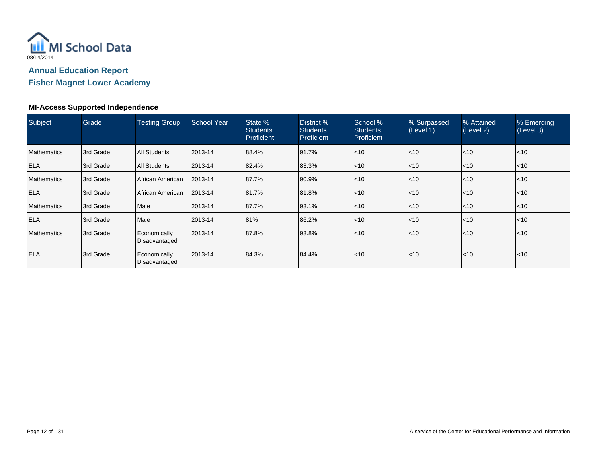

## **Fisher Magnet Lower Academy**

### **MI-Access Supported Independence**

| Subject            | Grade     | <b>Testing Group</b>          | <b>School Year</b> | State %<br><b>Students</b><br>Proficient | District %<br><b>Students</b><br>Proficient | School %<br><b>Students</b><br>Proficient | % Surpassed<br>(Level 1) | % Attained<br>(Level 2) | % Emerging<br>(Level 3) |
|--------------------|-----------|-------------------------------|--------------------|------------------------------------------|---------------------------------------------|-------------------------------------------|--------------------------|-------------------------|-------------------------|
| Mathematics        | 3rd Grade | <b>All Students</b>           | 2013-14            | 88.4%                                    | 91.7%                                       | $\leq 10$                                 | < 10                     | < 10                    | $ $ < 10                |
| <b>ELA</b>         | 3rd Grade | <b>All Students</b>           | 2013-14            | 82.4%                                    | 83.3%                                       | $\leq 10$                                 | l<10                     | < 10                    | $\mathsf{I}$ <10        |
| Mathematics        | 3rd Grade | African American              | 2013-14            | 87.7%                                    | 90.9%                                       | $\leq 10$                                 | $ $ < 10                 | < 10                    | $\mathsf{I}$ <10        |
| <b>ELA</b>         | 3rd Grade | African American              | 2013-14            | 81.7%                                    | 81.8%                                       | $\leq 10$                                 | $ $ < 10                 | < 10                    | $ $ < 10                |
| <b>Mathematics</b> | 3rd Grade | Male                          | 2013-14            | 87.7%                                    | 93.1%                                       | $\leq 10$                                 | $ $ < 10                 | < 10                    | < 10                    |
| <b>ELA</b>         | 3rd Grade | Male                          | 2013-14            | 81%                                      | 86.2%                                       | $\leq 10$                                 | < 10                     | < 10                    | $<$ 10                  |
| <b>Mathematics</b> | 3rd Grade | Economically<br>Disadvantaged | 2013-14            | 87.8%                                    | 93.8%                                       | $\leq 10$                                 | < 10                     | < 10                    | $\mathsf{I}$ <10        |
| <b>ELA</b>         | 3rd Grade | Economically<br>Disadvantaged | 2013-14            | 84.3%                                    | 84.4%                                       | $\leq 10$                                 | $<$ 10                   | < 10                    | $\mathsf{I}$ <10        |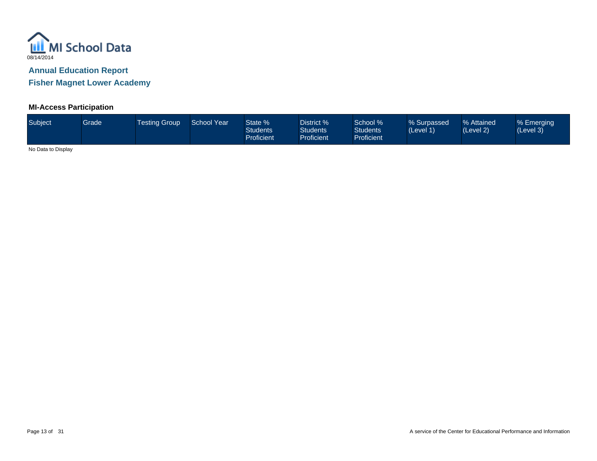

**Fisher Magnet Lower Academy**

# **MI-Access Participation**

| Subject | Grade | <b>Testing Group</b> | <b>School Year</b> | State %<br><b>Students</b><br><b>Proficient</b> | District %<br><b>Students</b><br><b>Proficient</b> | School %<br><b>Students</b><br><b>Proficient</b> | % Surpassed<br>(Level 1) | % Attained<br>(Level 2) | % Emerging<br>(Level 3) |
|---------|-------|----------------------|--------------------|-------------------------------------------------|----------------------------------------------------|--------------------------------------------------|--------------------------|-------------------------|-------------------------|
| .       |       |                      |                    |                                                 |                                                    |                                                  |                          |                         |                         |

No Data to Display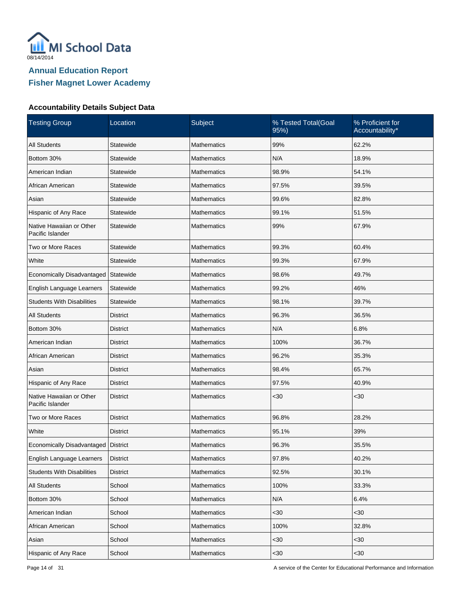

| <b>Testing Group</b>                         | Location        | Subject            | % Tested Total(Goal<br>95%) | % Proficient for<br>Accountability* |
|----------------------------------------------|-----------------|--------------------|-----------------------------|-------------------------------------|
| <b>All Students</b>                          | Statewide       | <b>Mathematics</b> | 99%                         | 62.2%                               |
| Bottom 30%                                   | Statewide       | <b>Mathematics</b> | N/A                         | 18.9%                               |
| American Indian                              | Statewide       | <b>Mathematics</b> | 98.9%                       | 54.1%                               |
| African American                             | Statewide       | Mathematics        | 97.5%                       | 39.5%                               |
| Asian                                        | Statewide       | Mathematics        | 99.6%                       | 82.8%                               |
| Hispanic of Any Race                         | Statewide       | Mathematics        | 99.1%                       | 51.5%                               |
| Native Hawaiian or Other<br>Pacific Islander | Statewide       | Mathematics        | 99%                         | 67.9%                               |
| Two or More Races                            | Statewide       | <b>Mathematics</b> | 99.3%                       | 60.4%                               |
| White                                        | Statewide       | <b>Mathematics</b> | 99.3%                       | 67.9%                               |
| Economically Disadvantaged                   | Statewide       | <b>Mathematics</b> | 98.6%                       | 49.7%                               |
| English Language Learners                    | Statewide       | <b>Mathematics</b> | 99.2%                       | 46%                                 |
| <b>Students With Disabilities</b>            | Statewide       | <b>Mathematics</b> | 98.1%                       | 39.7%                               |
| <b>All Students</b>                          | <b>District</b> | <b>Mathematics</b> | 96.3%                       | 36.5%                               |
| Bottom 30%                                   | <b>District</b> | <b>Mathematics</b> | N/A                         | 6.8%                                |
| American Indian                              | <b>District</b> | <b>Mathematics</b> | 100%                        | 36.7%                               |
| African American                             | <b>District</b> | <b>Mathematics</b> | 96.2%                       | 35.3%                               |
| Asian                                        | <b>District</b> | <b>Mathematics</b> | 98.4%                       | 65.7%                               |
| Hispanic of Any Race                         | <b>District</b> | <b>Mathematics</b> | 97.5%                       | 40.9%                               |
| Native Hawaiian or Other<br>Pacific Islander | <b>District</b> | <b>Mathematics</b> | <30                         | $30$                                |
| Two or More Races                            | <b>District</b> | <b>Mathematics</b> | 96.8%                       | 28.2%                               |
| White                                        | <b>District</b> | Mathematics        | 95.1%                       | 39%                                 |
| Economically Disadvantaged                   | District        | <b>Mathematics</b> | 96.3%                       | 35.5%                               |
| English Language Learners                    | <b>District</b> | Mathematics        | 97.8%                       | 40.2%                               |
| <b>Students With Disabilities</b>            | <b>District</b> | Mathematics        | 92.5%                       | 30.1%                               |
| All Students                                 | School          | Mathematics        | 100%                        | 33.3%                               |
| Bottom 30%                                   | School          | Mathematics        | N/A                         | 6.4%                                |
| American Indian                              | School          | Mathematics        | $30$                        | <30                                 |
| African American                             | School          | Mathematics        | 100%                        | 32.8%                               |
| Asian                                        | School          | Mathematics        | $30$                        | $30$                                |
| Hispanic of Any Race                         | School          | Mathematics        | $30$                        | $30$                                |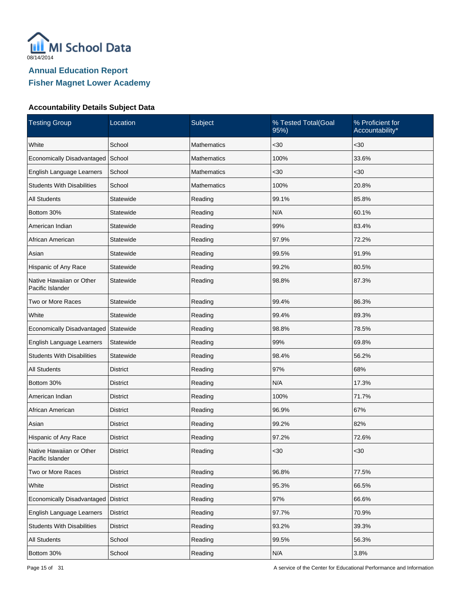

| <b>Testing Group</b>                         | Location        | Subject            | % Tested Total(Goal<br>95%) | % Proficient for<br>Accountability* |
|----------------------------------------------|-----------------|--------------------|-----------------------------|-------------------------------------|
| White                                        | School          | Mathematics        | $30$                        | <30                                 |
| Economically Disadvantaged                   | School          | <b>Mathematics</b> | 100%                        | 33.6%                               |
| English Language Learners                    | School          | <b>Mathematics</b> | $30$                        | $30$                                |
| <b>Students With Disabilities</b>            | School          | <b>Mathematics</b> | 100%                        | 20.8%                               |
| <b>All Students</b>                          | Statewide       | Reading            | 99.1%                       | 85.8%                               |
| Bottom 30%                                   | Statewide       | Reading            | N/A                         | 60.1%                               |
| American Indian                              | Statewide       | Reading            | 99%                         | 83.4%                               |
| African American                             | Statewide       | Reading            | 97.9%                       | 72.2%                               |
| Asian                                        | Statewide       | Reading            | 99.5%                       | 91.9%                               |
| Hispanic of Any Race                         | Statewide       | Reading            | 99.2%                       | 80.5%                               |
| Native Hawaiian or Other<br>Pacific Islander | Statewide       | Reading            | 98.8%                       | 87.3%                               |
| Two or More Races                            | Statewide       | Reading            | 99.4%                       | 86.3%                               |
| White                                        | Statewide       | Reading            | 99.4%                       | 89.3%                               |
| Economically Disadvantaged                   | Statewide       | Reading            | 98.8%                       | 78.5%                               |
| English Language Learners                    | Statewide       | Reading            | 99%                         | 69.8%                               |
| <b>Students With Disabilities</b>            | Statewide       | Reading            | 98.4%                       | 56.2%                               |
| <b>All Students</b>                          | <b>District</b> | Reading            | 97%                         | 68%                                 |
| Bottom 30%                                   | <b>District</b> | Reading            | N/A                         | 17.3%                               |
| American Indian                              | <b>District</b> | Reading            | 100%                        | 71.7%                               |
| African American                             | <b>District</b> | Reading            | 96.9%                       | 67%                                 |
| Asian                                        | <b>District</b> | Reading            | 99.2%                       | 82%                                 |
| Hispanic of Any Race                         | <b>District</b> | Reading            | 97.2%                       | 72.6%                               |
| Native Hawaiian or Other<br>Pacific Islander | <b>District</b> | Reading            | <30                         | $30$                                |
| Two or More Races                            | <b>District</b> | Reading            | 96.8%                       | 77.5%                               |
| White                                        | <b>District</b> | Reading            | 95.3%                       | 66.5%                               |
| Economically Disadvantaged                   | <b>District</b> | Reading            | 97%                         | 66.6%                               |
| English Language Learners                    | <b>District</b> | Reading            | 97.7%                       | 70.9%                               |
| <b>Students With Disabilities</b>            | <b>District</b> | Reading            | 93.2%                       | 39.3%                               |
| All Students                                 | School          | Reading            | 99.5%                       | 56.3%                               |
| Bottom 30%                                   | School          | Reading            | N/A                         | 3.8%                                |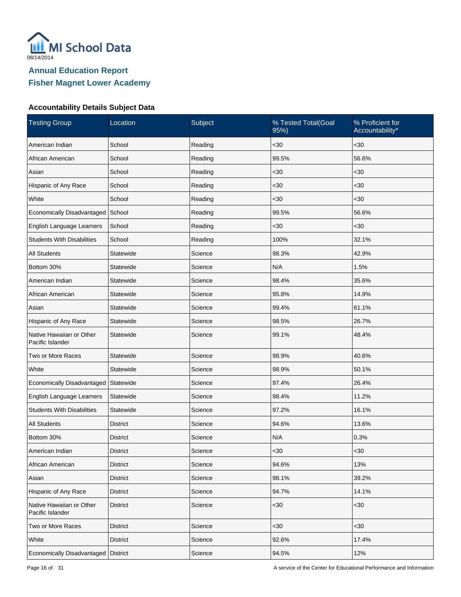

| <b>Testing Group</b>                         | Location        | Subject | % Tested Total(Goal<br>95%) | % Proficient for<br>Accountability* |
|----------------------------------------------|-----------------|---------|-----------------------------|-------------------------------------|
| American Indian                              | School          | Reading | $30$                        | $30$                                |
| African American                             | School          | Reading | 99.5%                       | 56.6%                               |
| Asian                                        | School          | Reading | $30$                        | $30$                                |
| Hispanic of Any Race                         | School          | Reading | $30$                        | $30$                                |
| White                                        | School          | Reading | $30$                        | $30$                                |
| Economically Disadvantaged                   | School          | Reading | 99.5%                       | 56.6%                               |
| English Language Learners                    | School          | Reading | $30$                        | $30$                                |
| <b>Students With Disabilities</b>            | School          | Reading | 100%                        | 32.1%                               |
| <b>All Students</b>                          | Statewide       | Science | 98.3%                       | 42.9%                               |
| Bottom 30%                                   | Statewide       | Science | N/A                         | 1.5%                                |
| American Indian                              | Statewide       | Science | 98.4%                       | 35.6%                               |
| African American                             | Statewide       | Science | 95.8%                       | 14.9%                               |
| Asian                                        | Statewide       | Science | 99.4%                       | 61.1%                               |
| Hispanic of Any Race                         | Statewide       | Science | 98.5%                       | 26.7%                               |
| Native Hawaiian or Other<br>Pacific Islander | Statewide       | Science | 99.1%                       | 48.4%                               |
| Two or More Races                            | Statewide       | Science | 98.9%                       | 40.6%                               |
| White                                        | Statewide       | Science | 98.9%                       | 50.1%                               |
| Economically Disadvantaged                   | Statewide       | Science | 97.4%                       | 26.4%                               |
| English Language Learners                    | Statewide       | Science | 98.4%                       | 11.2%                               |
| <b>Students With Disabilities</b>            | Statewide       | Science | 97.2%                       | 16.1%                               |
| <b>All Students</b>                          | <b>District</b> | Science | 94.6%                       | 13.6%                               |
| Bottom 30%                                   | District        | Science | N/A                         | 0.3%                                |
| American Indian                              | <b>District</b> | Science | $30$                        | $30$                                |
| African American                             | <b>District</b> | Science | 94.6%                       | 13%                                 |
| Asian                                        | <b>District</b> | Science | 98.1%                       | 39.2%                               |
| Hispanic of Any Race                         | <b>District</b> | Science | 94.7%                       | 14.1%                               |
| Native Hawaiian or Other<br>Pacific Islander | <b>District</b> | Science | $30$                        | $30$                                |
| Two or More Races                            | <b>District</b> | Science | $30$                        | <30                                 |
| White                                        | <b>District</b> | Science | 92.6%                       | 17.4%                               |
| Economically Disadvantaged                   | <b>District</b> | Science | 94.5%                       | 12%                                 |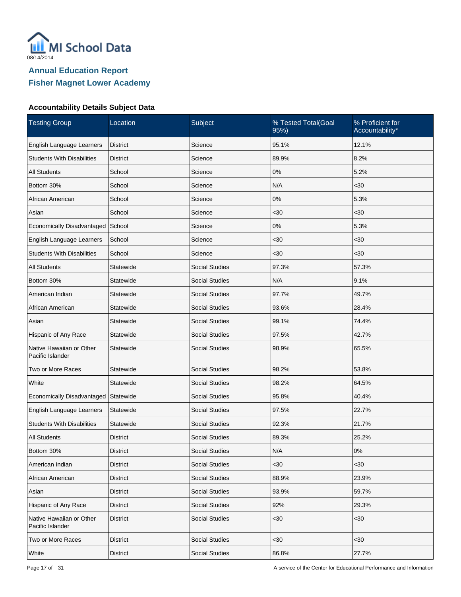

| <b>Testing Group</b>                         | Location        | Subject               | % Tested Total(Goal<br>95% | % Proficient for<br>Accountability* |
|----------------------------------------------|-----------------|-----------------------|----------------------------|-------------------------------------|
| English Language Learners                    | <b>District</b> | Science               | 95.1%                      | 12.1%                               |
| <b>Students With Disabilities</b>            | <b>District</b> | Science               | 89.9%                      | 8.2%                                |
| <b>All Students</b>                          | School          | Science               | $0\%$                      | 5.2%                                |
| Bottom 30%                                   | School          | Science               | N/A                        | $30$                                |
| African American                             | School          | Science               | $0\%$                      | 5.3%                                |
| Asian                                        | School          | Science               | $30$                       | $30$                                |
| Economically Disadvantaged                   | School          | Science               | $0\%$                      | 5.3%                                |
| English Language Learners                    | School          | Science               | $30$                       | $30$                                |
| <b>Students With Disabilities</b>            | School          | Science               | $30$                       | <30                                 |
| <b>All Students</b>                          | Statewide       | <b>Social Studies</b> | 97.3%                      | 57.3%                               |
| Bottom 30%                                   | Statewide       | <b>Social Studies</b> | N/A                        | 9.1%                                |
| American Indian                              | Statewide       | <b>Social Studies</b> | 97.7%                      | 49.7%                               |
| African American                             | Statewide       | <b>Social Studies</b> | 93.6%                      | 28.4%                               |
| Asian                                        | Statewide       | <b>Social Studies</b> | 99.1%                      | 74.4%                               |
| Hispanic of Any Race                         | Statewide       | <b>Social Studies</b> | 97.5%                      | 42.7%                               |
| Native Hawaiian or Other<br>Pacific Islander | Statewide       | <b>Social Studies</b> | 98.9%                      | 65.5%                               |
| Two or More Races                            | Statewide       | <b>Social Studies</b> | 98.2%                      | 53.8%                               |
| White                                        | Statewide       | <b>Social Studies</b> | 98.2%                      | 64.5%                               |
| Economically Disadvantaged                   | Statewide       | <b>Social Studies</b> | 95.8%                      | 40.4%                               |
| English Language Learners                    | Statewide       | <b>Social Studies</b> | 97.5%                      | 22.7%                               |
| <b>Students With Disabilities</b>            | Statewide       | <b>Social Studies</b> | 92.3%                      | 21.7%                               |
| <b>All Students</b>                          | <b>District</b> | <b>Social Studies</b> | 89.3%                      | 25.2%                               |
| Bottom 30%                                   | <b>District</b> | Social Studies        | N/A                        | 0%                                  |
| American Indian                              | District        | Social Studies        | $30$                       | <30                                 |
| African American                             | District        | <b>Social Studies</b> | 88.9%                      | 23.9%                               |
| Asian                                        | <b>District</b> | <b>Social Studies</b> | 93.9%                      | 59.7%                               |
| Hispanic of Any Race                         | <b>District</b> | Social Studies        | 92%                        | 29.3%                               |
| Native Hawaiian or Other<br>Pacific Islander | <b>District</b> | Social Studies        | <30                        | <30                                 |
| Two or More Races                            | <b>District</b> | Social Studies        | $30$                       | $30$                                |
| White                                        | <b>District</b> | Social Studies        | 86.8%                      | 27.7%                               |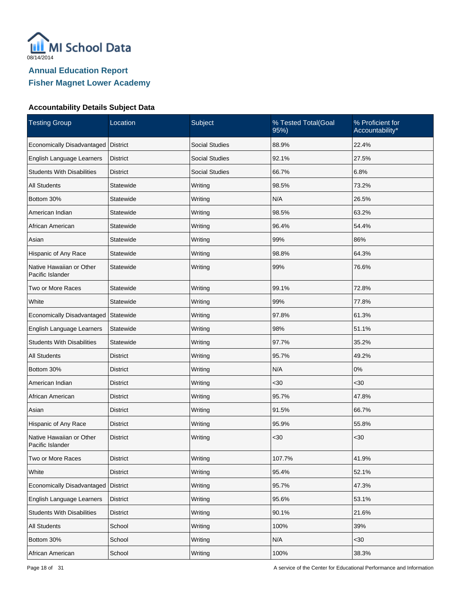

| <b>Testing Group</b>                         | Location        | Subject               | % Tested Total(Goal<br>95%) | % Proficient for<br>Accountability* |
|----------------------------------------------|-----------------|-----------------------|-----------------------------|-------------------------------------|
| Economically Disadvantaged                   | <b>District</b> | <b>Social Studies</b> | 88.9%                       | 22.4%                               |
| English Language Learners                    | <b>District</b> | <b>Social Studies</b> | 92.1%                       | 27.5%                               |
| <b>Students With Disabilities</b>            | <b>District</b> | <b>Social Studies</b> | 66.7%                       | 6.8%                                |
| <b>All Students</b>                          | Statewide       | Writing               | 98.5%                       | 73.2%                               |
| Bottom 30%                                   | Statewide       | Writing               | N/A                         | 26.5%                               |
| American Indian                              | Statewide       | Writing               | 98.5%                       | 63.2%                               |
| African American                             | Statewide       | Writing               | 96.4%                       | 54.4%                               |
| Asian                                        | Statewide       | Writing               | 99%                         | 86%                                 |
| Hispanic of Any Race                         | Statewide       | Writing               | 98.8%                       | 64.3%                               |
| Native Hawaiian or Other<br>Pacific Islander | Statewide       | Writing               | 99%                         | 76.6%                               |
| Two or More Races                            | Statewide       | Writing               | 99.1%                       | 72.8%                               |
| White                                        | Statewide       | Writing               | 99%                         | 77.8%                               |
| Economically Disadvantaged                   | Statewide       | Writing               | 97.8%                       | 61.3%                               |
| English Language Learners                    | Statewide       | Writing               | 98%                         | 51.1%                               |
| <b>Students With Disabilities</b>            | Statewide       | Writing               | 97.7%                       | 35.2%                               |
| All Students                                 | District        | Writing               | 95.7%                       | 49.2%                               |
| Bottom 30%                                   | District        | Writing               | N/A                         | 0%                                  |
| American Indian                              | District        | Writing               | $30$                        | $30$                                |
| African American                             | District        | Writing               | 95.7%                       | 47.8%                               |
| Asian                                        | <b>District</b> | Writing               | 91.5%                       | 66.7%                               |
| Hispanic of Any Race                         | <b>District</b> | Writing               | 95.9%                       | 55.8%                               |
| Native Hawaiian or Other<br>Pacific Islander | <b>District</b> | Writing               | $30$                        | $30$                                |
| Two or More Races                            | <b>District</b> | Writing               | 107.7%                      | 41.9%                               |
| White                                        | <b>District</b> | Writing               | 95.4%                       | 52.1%                               |
| Economically Disadvantaged                   | District        | Writing               | 95.7%                       | 47.3%                               |
| English Language Learners                    | <b>District</b> | Writing               | 95.6%                       | 53.1%                               |
| <b>Students With Disabilities</b>            | <b>District</b> | Writing               | 90.1%                       | 21.6%                               |
| <b>All Students</b>                          | School          | Writing               | 100%                        | 39%                                 |
| Bottom 30%                                   | School          | Writing               | N/A                         | $30$                                |
| African American                             | School          | Writing               | 100%                        | 38.3%                               |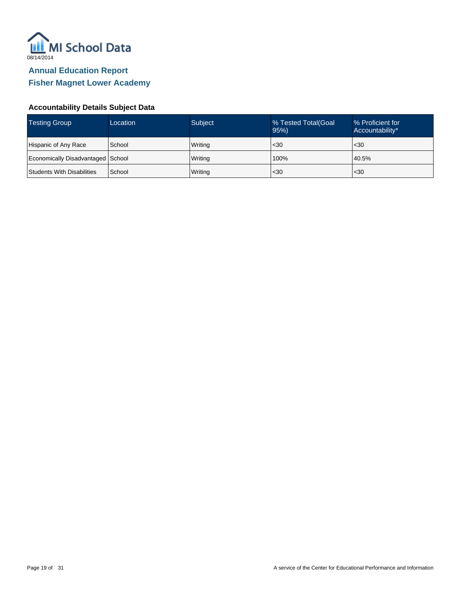

| <b>Testing Group</b>              | Location | Subject | % Tested Total(Goal<br>95% | % Proficient for<br>Accountability* |
|-----------------------------------|----------|---------|----------------------------|-------------------------------------|
| Hispanic of Any Race              | School   | Writing | $\leq 30$                  | $30$                                |
| Economically Disadvantaged School |          | Writing | 100%                       | 40.5%                               |
| Students With Disabilities        | School   | Writing | $30$                       | $30$                                |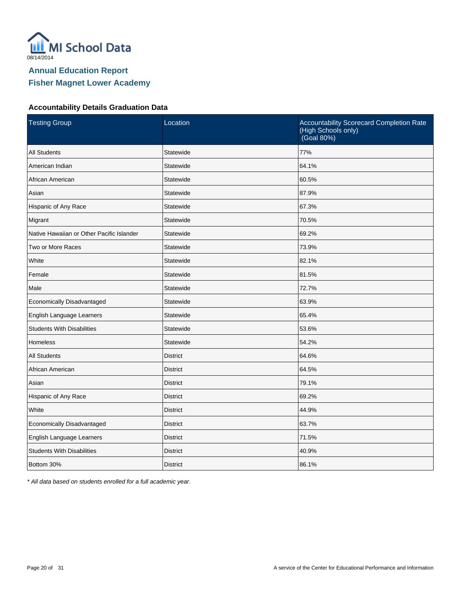

# **Fisher Magnet Lower Academy**

#### **Accountability Details Graduation Data**

| <b>Testing Group</b>                      | Location        | Accountability Scorecard Completion Rate<br>(High Schools only)<br>(Goal 80%) |
|-------------------------------------------|-----------------|-------------------------------------------------------------------------------|
| <b>All Students</b>                       | Statewide       | 77%                                                                           |
| American Indian                           | Statewide       | 64.1%                                                                         |
| African American                          | Statewide       | 60.5%                                                                         |
| Asian                                     | Statewide       | 87.9%                                                                         |
| Hispanic of Any Race                      | Statewide       | 67.3%                                                                         |
| Migrant                                   | Statewide       | 70.5%                                                                         |
| Native Hawaiian or Other Pacific Islander | Statewide       | 69.2%                                                                         |
| Two or More Races                         | Statewide       | 73.9%                                                                         |
| White                                     | Statewide       | 82.1%                                                                         |
| Female                                    | Statewide       | 81.5%                                                                         |
| Male                                      | Statewide       | 72.7%                                                                         |
| Economically Disadvantaged                | Statewide       | 63.9%                                                                         |
| English Language Learners                 | Statewide       | 65.4%                                                                         |
| <b>Students With Disabilities</b>         | Statewide       | 53.6%                                                                         |
| Homeless                                  | Statewide       | 54.2%                                                                         |
| <b>All Students</b>                       | <b>District</b> | 64.6%                                                                         |
| African American                          | <b>District</b> | 64.5%                                                                         |
| Asian                                     | <b>District</b> | 79.1%                                                                         |
| Hispanic of Any Race                      | <b>District</b> | 69.2%                                                                         |
| White                                     | <b>District</b> | 44.9%                                                                         |
| Economically Disadvantaged                | <b>District</b> | 63.7%                                                                         |
| English Language Learners                 | <b>District</b> | 71.5%                                                                         |
| <b>Students With Disabilities</b>         | <b>District</b> | 40.9%                                                                         |
| Bottom 30%                                | <b>District</b> | 86.1%                                                                         |

\* All data based on students enrolled for a full academic year.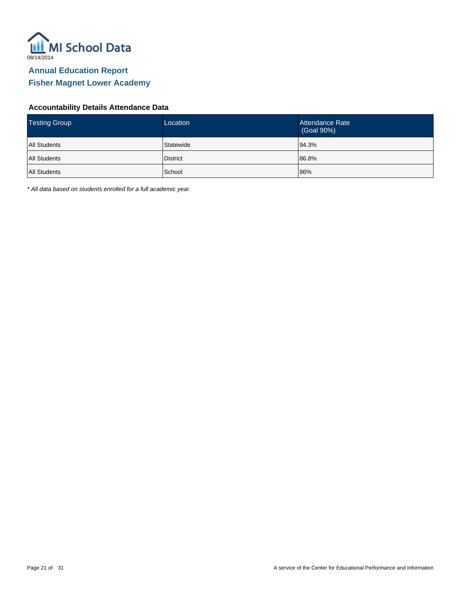

### **Accountability Details Attendance Data**

| <b>Testing Group</b> | Location  | Attendance Rate<br>(Goal 90%) |
|----------------------|-----------|-------------------------------|
| All Students         | Statewide | 94.3%                         |
| All Students         | District  | 86.8%                         |
| All Students         | School    | 86%                           |

\* All data based on students enrolled for a full academic year.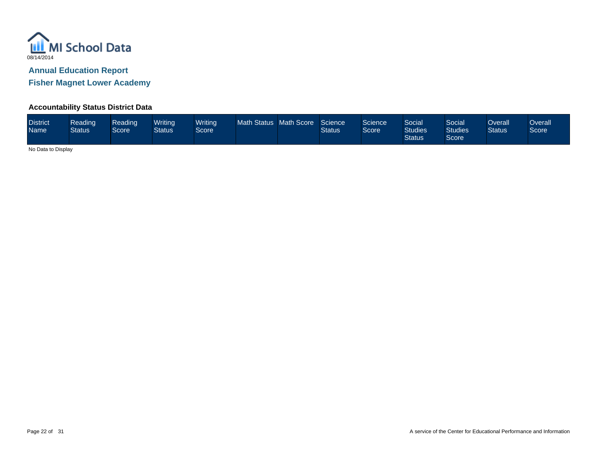

**Fisher Magnet Lower Academy**

### **Accountability Status District Data**

| <b>District</b><br><b>Name</b> | Reading<br><b>Status</b> | Reading<br>Score <sup>1</sup> | Writina<br>Status | <b>Writing</b><br>Score | Math Status Math Score |  | Science<br><b>Status</b> | Science<br>Score <sup>1</sup> | Social<br><b>Studies</b><br><b>Status</b> | Social <sup>'</sup><br><b>Studies</b><br>Score | Overall<br><b>Status</b> | Dverall<br>Score |
|--------------------------------|--------------------------|-------------------------------|-------------------|-------------------------|------------------------|--|--------------------------|-------------------------------|-------------------------------------------|------------------------------------------------|--------------------------|------------------|
|--------------------------------|--------------------------|-------------------------------|-------------------|-------------------------|------------------------|--|--------------------------|-------------------------------|-------------------------------------------|------------------------------------------------|--------------------------|------------------|

No Data to Display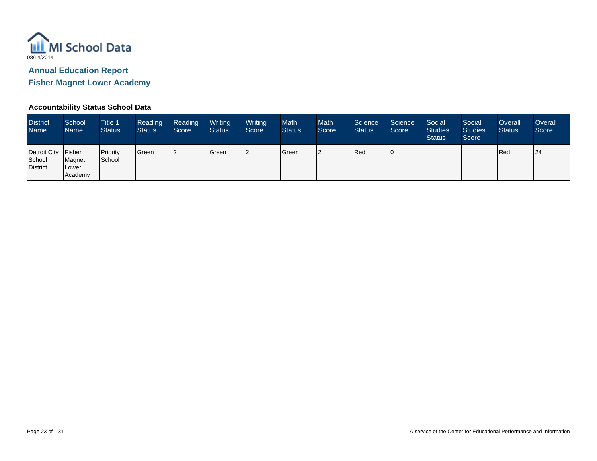

**Fisher Magnet Lower Academy**

### **Accountability Status School Data**

| <b>District</b><br><b>Name</b>            | School<br>Name                              | <b>Title 1</b><br><b>Status</b> | Reading<br><b>Status</b> | Reading<br>Score | Writing<br><b>Status</b> | Writing<br>Score | Math<br><b>Status</b> | <b>Math</b><br>Score | Science<br><b>Status</b> | Science<br>Score | Social<br><b>Studies</b><br><b>Status</b> | Social<br><b>Studies</b><br>Score | Overall<br><b>Status</b> | Overall<br>Score |
|-------------------------------------------|---------------------------------------------|---------------------------------|--------------------------|------------------|--------------------------|------------------|-----------------------|----------------------|--------------------------|------------------|-------------------------------------------|-----------------------------------|--------------------------|------------------|
| Detroit City<br>School<br><b>District</b> | <b>Fisher</b><br>Magnet<br>Lower<br>Academy | Priority<br>School              | Green                    |                  | <b>Green</b>             | ר ו              | Green                 | 2                    | Red                      | l O              |                                           |                                   | Red                      | 24               |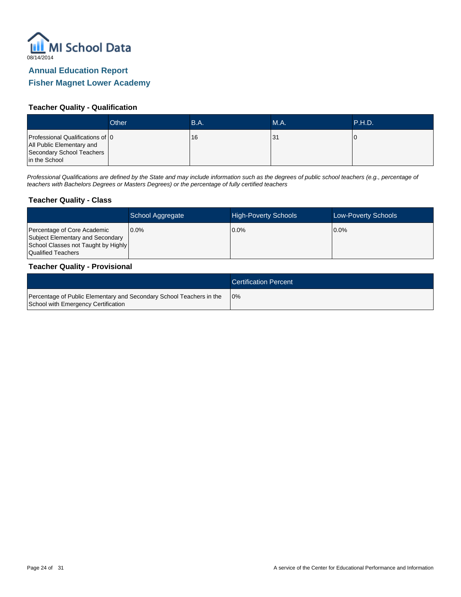

### **Fisher Magnet Lower Academy**

#### **Teacher Quality - Qualification**

|                                                                                                             | Other | B.A. | MA. | P.H.D. |
|-------------------------------------------------------------------------------------------------------------|-------|------|-----|--------|
| Professional Qualifications of 0<br>All Public Elementary and<br>Secondary School Teachers<br>in the School |       | 16   | 31  | U      |

Professional Qualifications are defined by the State and may include information such as the degrees of public school teachers (e.g., percentage of teachers with Bachelors Degrees or Masters Degrees) or the percentage of fully certified teachers

#### **Teacher Quality - Class**

|                                                                                                                              | School Aggregate | <b>High-Poverty Schools</b> | <b>Low-Poverty Schools</b> |
|------------------------------------------------------------------------------------------------------------------------------|------------------|-----------------------------|----------------------------|
| Percentage of Core Academic<br>Subject Elementary and Secondary<br>School Classes not Taught by Highly<br>Qualified Teachers | 10.0%            | $0.0\%$                     | $0.0\%$                    |

#### **Teacher Quality - Provisional**

|                                                                                                             | <b>Certification Percent</b> |
|-------------------------------------------------------------------------------------------------------------|------------------------------|
| Percentage of Public Elementary and Secondary School Teachers in the<br>School with Emergency Certification | 10%                          |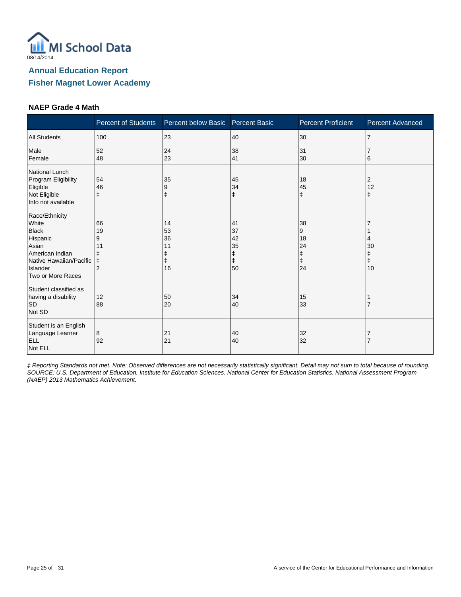

#### **NAEP Grade 4 Math**

|                                                                                                                                             | <b>Percent of Students</b>                 | Percent below Basic Percent Basic |                                               | <b>Percent Proficient</b>      | <b>Percent Advanced</b> |
|---------------------------------------------------------------------------------------------------------------------------------------------|--------------------------------------------|-----------------------------------|-----------------------------------------------|--------------------------------|-------------------------|
| <b>All Students</b>                                                                                                                         | 100                                        | 23                                | 40                                            | 30                             | 7                       |
| Male<br>Female                                                                                                                              | 52<br>48                                   | 24<br>23                          | 38<br>41                                      | 31<br>30                       | 6                       |
| National Lunch<br>Program Eligibility<br>Eligible<br>Not Eligible<br>Info not available                                                     | 54<br>46<br>ŧ                              | 35<br>9                           | 45<br>34<br>$\ddagger$                        | 18<br>45<br>$\ddagger$         | 2<br>12<br>ŧ            |
| Race/Ethnicity<br>White<br><b>Black</b><br>Hispanic<br>Asian<br>American Indian<br>Native Hawaiian/Pacific<br>Islander<br>Two or More Races | 66<br>19<br>9<br>11<br>ŧ<br>$\overline{2}$ | 14<br>53<br>36<br>11<br>16        | 41<br>37<br>42<br>35<br>ŧ<br>$\ddagger$<br>50 | 38<br>9<br>18<br>24<br>ŧ<br>24 | 30<br>ŧ<br>10           |
| Student classified as<br>having a disability<br><b>SD</b><br>Not SD                                                                         | 12<br>88                                   | 50<br>20                          | 34<br>40                                      | 15<br>33                       |                         |
| Student is an English<br>Language Learner<br><b>ELL</b><br>Not ELL                                                                          | 8<br>92                                    | 21<br>21                          | 40<br>40                                      | 32<br>32                       |                         |

‡ Reporting Standards not met. Note: Observed differences are not necessarily statistically significant. Detail may not sum to total because of rounding. SOURCE: U.S. Department of Education. Institute for Education Sciences. National Center for Education Statistics. National Assessment Program (NAEP) 2013 Mathematics Achievement.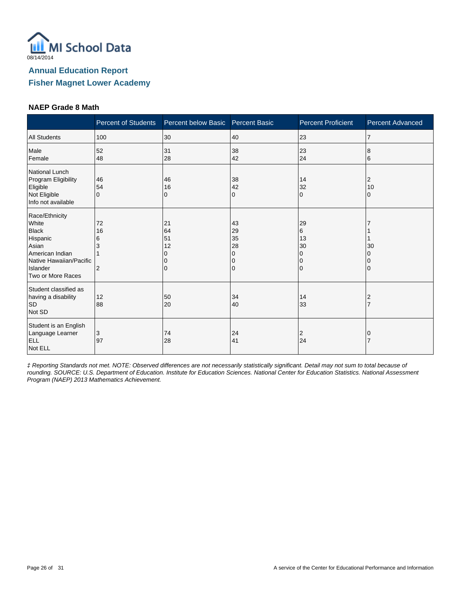

#### **NAEP Grade 8 Math**

|                                                                                                                                             | <b>Percent of Students</b>           | Percent below Basic              | <b>Percent Basic</b>           | <b>Percent Proficient</b>            | <b>Percent Advanced</b> |
|---------------------------------------------------------------------------------------------------------------------------------------------|--------------------------------------|----------------------------------|--------------------------------|--------------------------------------|-------------------------|
| <b>All Students</b>                                                                                                                         | 100                                  | 30                               | 40                             | 23                                   | 17                      |
| Male<br>Female                                                                                                                              | 52<br>48                             | 31<br>28                         | 38<br>42                       | 23<br>24                             | 8<br>6                  |
| National Lunch<br>Program Eligibility<br>Eligible<br>Not Eligible<br>Info not available                                                     | 46<br>54<br>$\Omega$                 | 46<br>16<br>0                    | 38<br>42<br>$\mathbf{0}$       | 14<br>32<br>$\Omega$                 | 2<br>10<br>$\Omega$     |
| Race/Ethnicity<br>White<br><b>Black</b><br>Hispanic<br>Asian<br>American Indian<br>Native Hawaiian/Pacific<br>Islander<br>Two or More Races | 72<br>16<br>6<br>3<br>$\overline{2}$ | 21<br>64<br>51<br>12<br>$\Omega$ | 43<br>29<br>35<br>28<br>O<br>0 | 29<br>6<br>13<br>30<br>0<br>0<br>l O | 30<br>$\Omega$          |
| Student classified as<br>having a disability<br><b>SD</b><br>Not SD                                                                         | 12<br>88                             | 50<br>20                         | 34<br>40                       | 14<br>33                             | $\overline{2}$          |
| Student is an English<br>Language Learner<br><b>ELL</b><br>Not ELL                                                                          | 3<br>97                              | 74<br>28                         | 24<br>41                       | 2<br>24                              |                         |

‡ Reporting Standards not met. NOTE: Observed differences are not necessarily statistically significant. Detail may not sum to total because of rounding. SOURCE: U.S. Department of Education. Institute for Education Sciences. National Center for Education Statistics. National Assessment Program (NAEP) 2013 Mathematics Achievement.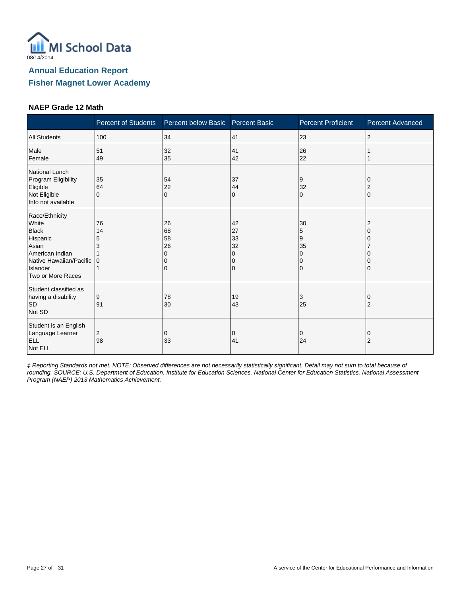

#### **NAEP Grade 12 Math**

|                                                                                                                                             | <b>Percent of Students</b> | Percent below Basic Percent Basic |                                     | <b>Percent Proficient</b> | <b>Percent Advanced</b> |
|---------------------------------------------------------------------------------------------------------------------------------------------|----------------------------|-----------------------------------|-------------------------------------|---------------------------|-------------------------|
| <b>All Students</b>                                                                                                                         | 100                        | 34                                | 41                                  | 23                        | $\overline{2}$          |
| Male<br>Female                                                                                                                              | 51<br>49                   | 32<br>35                          | 41<br>42                            | 26<br>22                  |                         |
| National Lunch<br>Program Eligibility<br>Eligible<br>Not Eligible<br>Info not available                                                     | 35<br>64<br>$\Omega$       | 54<br>22<br>$\Omega$              | 37<br>44<br>0                       | 9<br>32<br>$\Omega$       | $\Omega$                |
| Race/Ethnicity<br>White<br><b>Black</b><br>Hispanic<br>Asian<br>American Indian<br>Native Hawaiian/Pacific<br>Islander<br>Two or More Races | 76<br>14<br>5<br>3<br>10   | 26<br>68<br>58<br>26              | 42<br>27<br>33<br>32<br>O<br>0<br>0 | 30<br>5<br>9<br>35<br>0   |                         |
| Student classified as<br>having a disability<br><b>SD</b><br>Not SD                                                                         | 9<br>91                    | 78<br>30                          | 19<br>43                            | 3<br>25                   | $\overline{2}$          |
| Student is an English<br>Language Learner<br><b>ELL</b><br>Not ELL                                                                          | 2<br>98                    | 0<br>33                           | 0<br>41                             | 0<br>24                   | O<br>$\overline{2}$     |

‡ Reporting Standards not met. NOTE: Observed differences are not necessarily statistically significant. Detail may not sum to total because of rounding. SOURCE: U.S. Department of Education. Institute for Education Sciences. National Center for Education Statistics. National Assessment Program (NAEP) 2013 Mathematics Achievement.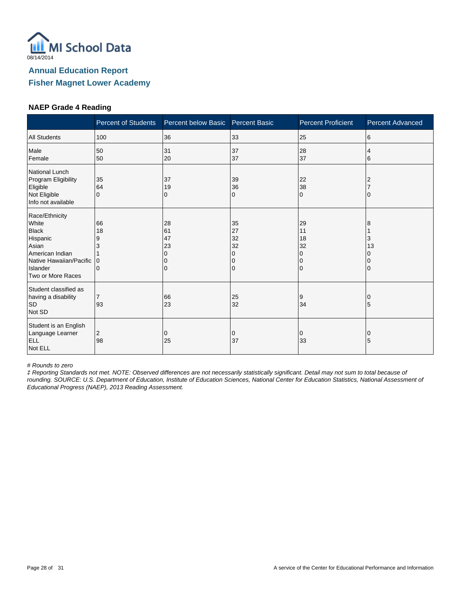

#### **NAEP Grade 4 Reading**

|                                                                                                                                             | <b>Percent of Students</b>                 | Percent below Basic            | <b>Percent Basic</b>                | <b>Percent Proficient</b>                                   | <b>Percent Advanced</b> |
|---------------------------------------------------------------------------------------------------------------------------------------------|--------------------------------------------|--------------------------------|-------------------------------------|-------------------------------------------------------------|-------------------------|
| <b>All Students</b>                                                                                                                         | 100                                        | 36                             | 33                                  | 25                                                          | 6                       |
| Male<br>Female                                                                                                                              | 50<br>50                                   | 31<br>20                       | 37<br>37                            | 28<br>37                                                    | 4<br>6                  |
| National Lunch<br>Program Eligibility<br>Eligible<br>Not Eligible<br>Info not available                                                     | 35<br>64<br>$\mathbf{0}$                   | 37<br>19<br>0                  | 39<br>36<br>0                       | 22<br>38<br>$\mathbf 0$                                     | 2                       |
| Race/Ethnicity<br>White<br><b>Black</b><br>Hispanic<br>Asian<br>American Indian<br>Native Hawaiian/Pacific<br>Islander<br>Two or More Races | 66<br>18<br>9<br>3<br>$\Omega$<br>$\Omega$ | 28<br>61<br>47<br>23<br>0<br>0 | 35<br>27<br>32<br>32<br>0<br>0<br>0 | 29<br>11<br>18<br>32<br>$\Omega$<br>$\Omega$<br>$\mathbf 0$ | 8<br>3<br>13            |
| Student classified as<br>having a disability<br><b>SD</b><br>Not SD                                                                         | $\overline{7}$<br>93                       | 66<br>23                       | 25<br>32                            | 9<br>34                                                     | 5                       |
| Student is an English<br>Language Learner<br>ELL<br>Not ELL                                                                                 | 2<br>98                                    | 0<br>25                        | 0<br>37                             | 0<br>33                                                     | 0<br>5                  |

# Rounds to zero

‡ Reporting Standards not met. NOTE: Observed differences are not necessarily statistically significant. Detail may not sum to total because of rounding. SOURCE: U.S. Department of Education, Institute of Education Sciences, National Center for Education Statistics, National Assessment of Educational Progress (NAEP), 2013 Reading Assessment.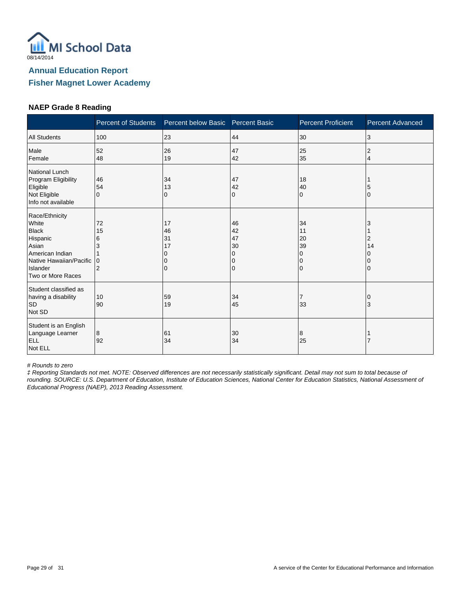

#### **NAEP Grade 8 Reading**

|                                                                                                                                             | <b>Percent of Students</b>          | Percent below Basic       | <b>Percent Basic</b>                | <b>Percent Proficient</b>                                   | <b>Percent Advanced</b> |
|---------------------------------------------------------------------------------------------------------------------------------------------|-------------------------------------|---------------------------|-------------------------------------|-------------------------------------------------------------|-------------------------|
| <b>All Students</b>                                                                                                                         | 100                                 | 23                        | 44                                  | 30                                                          | 3                       |
| Male<br>Female                                                                                                                              | 52<br>48                            | 26<br>19                  | 47<br>42                            | 25<br>35                                                    | 2<br>4                  |
| National Lunch<br>Program Eligibility<br>Eligible<br>Not Eligible<br>Info not available                                                     | 46<br>54<br>$\Omega$                | 34<br>13<br>0             | 47<br>42<br>0                       | 18<br>40<br>$\Omega$                                        | O                       |
| Race/Ethnicity<br>White<br><b>Black</b><br>Hispanic<br>Asian<br>American Indian<br>Native Hawaiian/Pacific<br>Islander<br>Two or More Races | 72<br>15<br>6<br>3<br>$\Omega$<br>2 | 17<br>46<br>31<br>17<br>0 | 46<br>42<br>47<br>30<br>0<br>0<br>0 | 34<br>11<br>20<br>39<br>$\Omega$<br>$\Omega$<br>$\mathbf 0$ | 2<br>14                 |
| Student classified as<br>having a disability<br><b>SD</b><br>Not SD                                                                         | 10<br>90                            | 59<br>19                  | 34<br>45                            | 7<br>33                                                     | 3                       |
| Student is an English<br>Language Learner<br><b>ELL</b><br>Not ELL                                                                          | 8<br>92                             | 61<br>34                  | 30<br>34                            | 8<br>25                                                     |                         |

# Rounds to zero

‡ Reporting Standards not met. NOTE: Observed differences are not necessarily statistically significant. Detail may not sum to total because of rounding. SOURCE: U.S. Department of Education, Institute of Education Sciences, National Center for Education Statistics, National Assessment of Educational Progress (NAEP), 2013 Reading Assessment.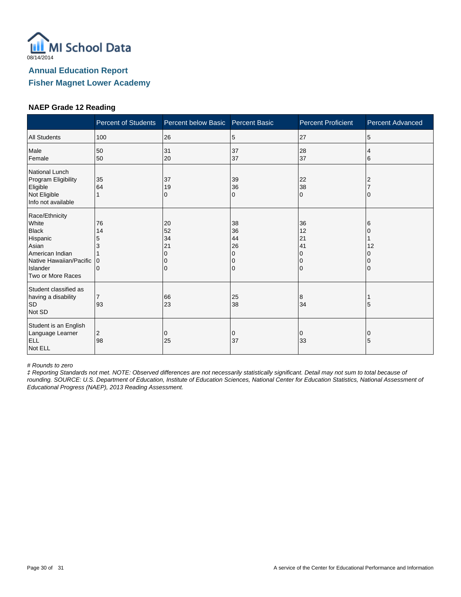

#### **NAEP Grade 12 Reading**

|                                                                                                                                             | <b>Percent of Students</b>             | Percent below Basic Percent Basic |                                | <b>Percent Proficient</b>              | <b>Percent Advanced</b> |
|---------------------------------------------------------------------------------------------------------------------------------------------|----------------------------------------|-----------------------------------|--------------------------------|----------------------------------------|-------------------------|
| <b>All Students</b>                                                                                                                         | 100                                    | 26                                | 5                              | 27                                     | 5                       |
| Male<br>Female                                                                                                                              | 50<br>50                               | 31<br>20                          | 37<br>37                       | 28<br>37                               | 4<br>6                  |
| National Lunch<br>Program Eligibility<br>Eligible<br>Not Eligible<br>Info not available                                                     | 35<br>64                               | 37<br>19<br>0                     | 39<br>36<br>$\Omega$           | 22<br>38<br>$\Omega$                   | 2<br>$\Omega$           |
| Race/Ethnicity<br>White<br><b>Black</b><br>Hispanic<br>Asian<br>American Indian<br>Native Hawaiian/Pacific<br>Islander<br>Two or More Races | 76<br>14<br>5<br>3<br>$\mathbf 0$<br>0 | 20<br>52<br>34<br>21<br>0         | 38<br>36<br>44<br>26<br>O<br>0 | 36<br>12<br>21<br>41<br>0<br>10<br>l O | 6<br>12                 |
| Student classified as<br>having a disability<br><b>SD</b><br>Not SD                                                                         | $\overline{7}$<br>93                   | 66<br>23                          | 25<br>38                       | 8<br>34                                | 5                       |
| Student is an English<br>Language Learner<br>ELL<br>Not ELL                                                                                 | 2<br>98                                | 0<br>25                           | 0<br>37                        | 0<br>33                                | 0<br>5                  |

# Rounds to zero

‡ Reporting Standards not met. NOTE: Observed differences are not necessarily statistically significant. Detail may not sum to total because of rounding. SOURCE: U.S. Department of Education, Institute of Education Sciences, National Center for Education Statistics, National Assessment of Educational Progress (NAEP), 2013 Reading Assessment.